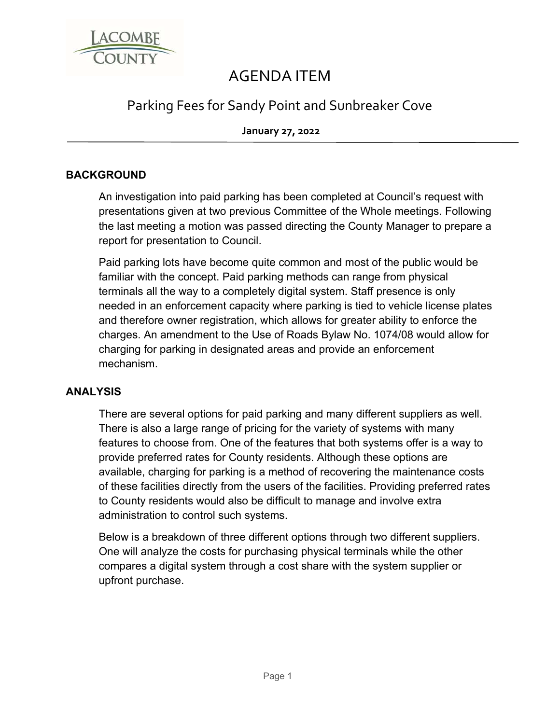

# AGENDA ITEM

## Parking Fees for Sandy Point and Sunbreaker Cove

**January 27, 2022**

### **BACKGROUND**

An investigation into paid parking has been completed at Council's request with presentations given at two previous Committee of the Whole meetings. Following the last meeting a motion was passed directing the County Manager to prepare a report for presentation to Council.

Paid parking lots have become quite common and most of the public would be familiar with the concept. Paid parking methods can range from physical terminals all the way to a completely digital system. Staff presence is only needed in an enforcement capacity where parking is tied to vehicle license plates and therefore owner registration, which allows for greater ability to enforce the charges. An amendment to the Use of Roads Bylaw No. 1074/08 would allow for charging for parking in designated areas and provide an enforcement mechanism.

#### **ANALYSIS**

There are several options for paid parking and many different suppliers as well. There is also a large range of pricing for the variety of systems with many features to choose from. One of the features that both systems offer is a way to provide preferred rates for County residents. Although these options are available, charging for parking is a method of recovering the maintenance costs of these facilities directly from the users of the facilities. Providing preferred rates to County residents would also be difficult to manage and involve extra administration to control such systems.

Below is a breakdown of three different options through two different suppliers. One will analyze the costs for purchasing physical terminals while the other compares a digital system through a cost share with the system supplier or upfront purchase.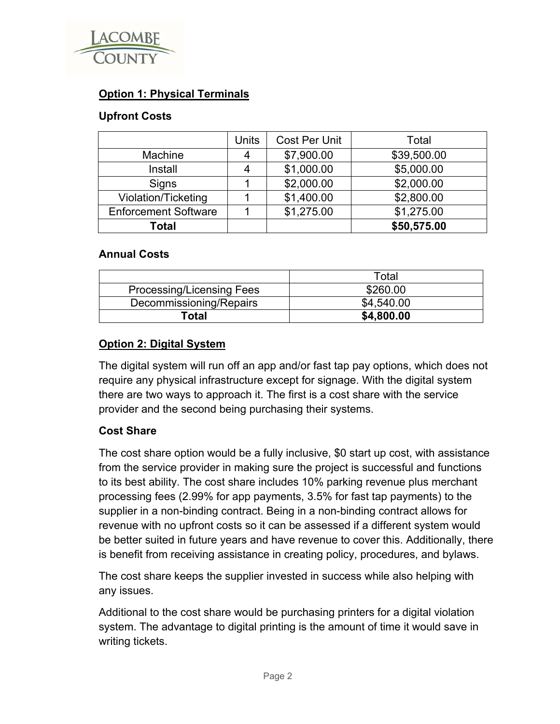

### **Option 1: Physical Terminals**

#### **Upfront Costs**

|                             | Units | <b>Cost Per Unit</b> | Total       |
|-----------------------------|-------|----------------------|-------------|
| Machine                     | 4     | \$7,900.00           | \$39,500.00 |
| Install                     | 4     | \$1,000.00           | \$5,000.00  |
| Signs                       |       | \$2,000.00           | \$2,000.00  |
| Violation/Ticketing         |       | \$1,400.00           | \$2,800.00  |
| <b>Enforcement Software</b> |       | \$1,275.00           | \$1,275.00  |
| <b>Total</b>                |       |                      | \$50,575.00 |

#### **Annual Costs**

|                                  | Total      |
|----------------------------------|------------|
| <b>Processing/Licensing Fees</b> | \$260.00   |
| Decommissioning/Repairs          | \$4,540.00 |
| Total                            | \$4,800.00 |

#### **Option 2: Digital System**

The digital system will run off an app and/or fast tap pay options, which does not require any physical infrastructure except for signage. With the digital system there are two ways to approach it. The first is a cost share with the service provider and the second being purchasing their systems.

#### **Cost Share**

The cost share option would be a fully inclusive, \$0 start up cost, with assistance from the service provider in making sure the project is successful and functions to its best ability. The cost share includes 10% parking revenue plus merchant processing fees (2.99% for app payments, 3.5% for fast tap payments) to the supplier in a non-binding contract. Being in a non-binding contract allows for revenue with no upfront costs so it can be assessed if a different system would be better suited in future years and have revenue to cover this. Additionally, there is benefit from receiving assistance in creating policy, procedures, and bylaws.

The cost share keeps the supplier invested in success while also helping with any issues.

Additional to the cost share would be purchasing printers for a digital violation system. The advantage to digital printing is the amount of time it would save in writing tickets.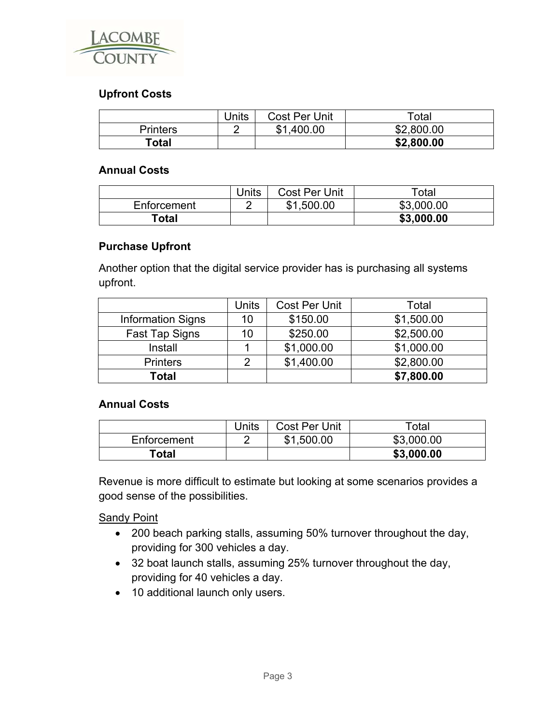

#### **Upfront Costs**

|                 | Units | <b>Cost Per Unit</b> | $\tau$ otal |
|-----------------|-------|----------------------|-------------|
| <b>Printers</b> |       | .400.00<br>\$1       | \$2,800.00  |
| Total           |       |                      | \$2,800.00  |

#### **Annual Costs**

|             | <b>Units</b> | <b>Cost Per Unit</b> | Total      |
|-------------|--------------|----------------------|------------|
| Enforcement |              | \$1,500.00           | \$3,000.00 |
| ™otal       |              |                      | \$3,000.00 |

#### **Purchase Upfront**

Another option that the digital service provider has is purchasing all systems upfront.

|                          | <b>Units</b>   | <b>Cost Per Unit</b> | Total      |
|--------------------------|----------------|----------------------|------------|
| <b>Information Signs</b> | 10             | \$150.00             | \$1,500.00 |
| <b>Fast Tap Signs</b>    | 10             | \$250.00             | \$2,500.00 |
| Install                  |                | \$1,000.00           | \$1,000.00 |
| <b>Printers</b>          | $\overline{2}$ | \$1,400.00           | \$2,800.00 |
| <b>Total</b>             |                |                      | \$7,800.00 |

#### **Annual Costs**

|                   | Units | <b>Cost Per Unit</b> | $\tau$ otal |
|-------------------|-------|----------------------|-------------|
| Enforcement       |       | \$1,500.00           | \$3,000.00  |
| <sup>-</sup> otal |       |                      | \$3,000.00  |

Revenue is more difficult to estimate but looking at some scenarios provides a good sense of the possibilities.

Sandy Point

- 200 beach parking stalls, assuming 50% turnover throughout the day, providing for 300 vehicles a day.
- 32 boat launch stalls, assuming 25% turnover throughout the day, providing for 40 vehicles a day.
- 10 additional launch only users.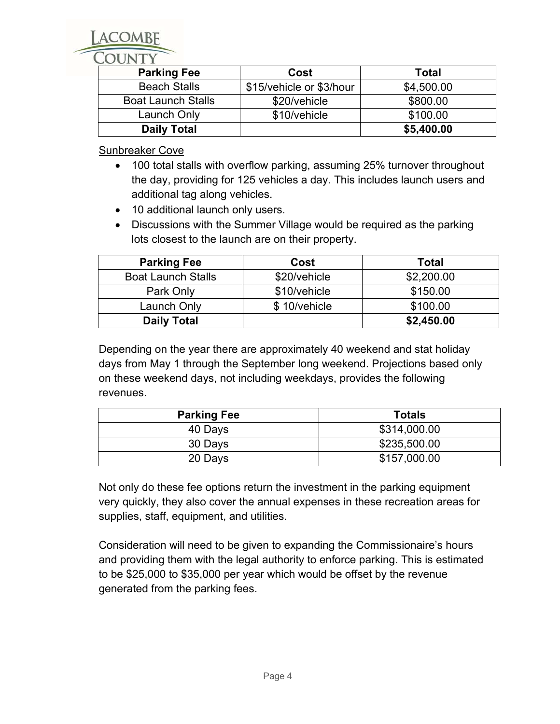| <b>Parking Fee</b>        | Cost                     | <b>Total</b> |
|---------------------------|--------------------------|--------------|
| <b>Beach Stalls</b>       | \$15/vehicle or \$3/hour | \$4,500.00   |
| <b>Boat Launch Stalls</b> | \$20/vehicle             | \$800.00     |
| Launch Only               | \$10/vehicle             | \$100.00     |
| <b>Daily Total</b>        |                          | \$5,400.00   |

Sunbreaker Cove

- 100 total stalls with overflow parking, assuming 25% turnover throughout the day, providing for 125 vehicles a day. This includes launch users and additional tag along vehicles.
- 10 additional launch only users.
- Discussions with the Summer Village would be required as the parking lots closest to the launch are on their property.

| <b>Parking Fee</b>        | Cost         | <b>Total</b> |
|---------------------------|--------------|--------------|
| <b>Boat Launch Stalls</b> | \$20/vehicle | \$2,200.00   |
| Park Only                 | \$10/vehicle | \$150.00     |
| Launch Only               | \$10/vehicle | \$100.00     |
| <b>Daily Total</b>        |              | \$2,450.00   |

Depending on the year there are approximately 40 weekend and stat holiday days from May 1 through the September long weekend. Projections based only on these weekend days, not including weekdays, provides the following revenues.

| <b>Parking Fee</b> | <b>Totals</b> |
|--------------------|---------------|
| 40 Days            | \$314,000.00  |
| 30 Days            | \$235,500.00  |
| 20 Days            | \$157,000.00  |

Not only do these fee options return the investment in the parking equipment very quickly, they also cover the annual expenses in these recreation areas for supplies, staff, equipment, and utilities.

Consideration will need to be given to expanding the Commissionaire's hours and providing them with the legal authority to enforce parking. This is estimated to be \$25,000 to \$35,000 per year which would be offset by the revenue generated from the parking fees.